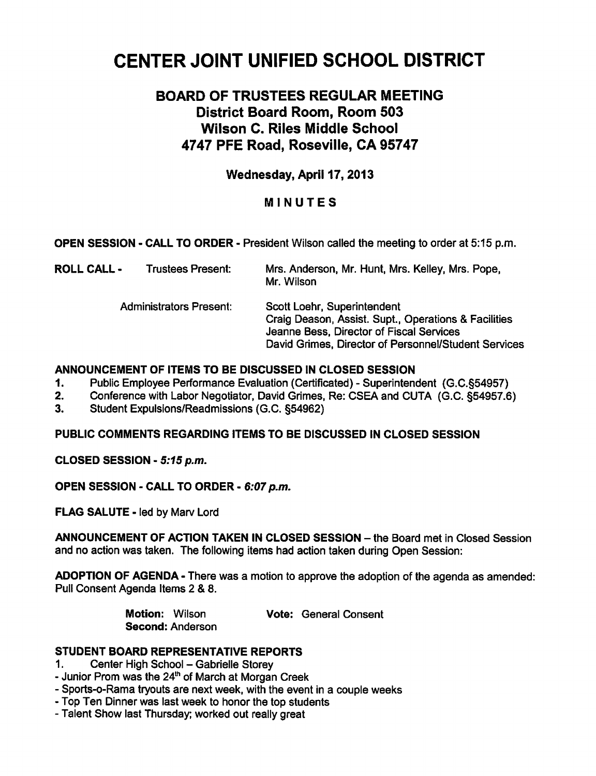# CENTER JOINT UNIFIED SCHOOL DISTRICT

# BOARD OF TRUSTEES REGULAR MEETING District Board Room, Room 503 Wilson C. Riles Middle School 4747 PFE Road, Rosevilie, CA 95747

# Wednesday, April 17,2013

# MINUTES

OPEN SESSION - CALL TO ORDER - President Wilson called the meeting to order at 5:15 p.m.

| ROLL CALL - | <b>Trustees Present:</b>       | Mrs. Anderson, Mr. Hunt, Mrs. Kelley, Mrs. Pope,<br>Mr. Wilson                                                                                                                          |
|-------------|--------------------------------|-----------------------------------------------------------------------------------------------------------------------------------------------------------------------------------------|
|             | <b>Administrators Present:</b> | Scott Loehr, Superintendent<br>Craig Deason, Assist. Supt., Operations & Facilities<br>Jeanne Bess, Director of Fiscal Services<br>David Grimes, Director of Personnel/Student Services |

#### ANNOUNCEMENT OF ITEMS TO BE DISCUSSED IN CLOSED SESSION

- 1. Public Employee Performance Evaluation (Certificated) Superintendent (G.C.§54957)
- 2. Conference with Labor Negotiator, David Grimes, Re: CSEA and CUTA (G.C. §54957.6)
- 3. Student Expulsions/Readmissions (G.C. §54962)

#### PUBLIC COMMENTS REGARDING ITEMS TO BE DISCUSSED IN CLOSED SESSION

CLOSED SESSION - 5:15 p.m.

OPEN SESSION - CALL TO ORDER - 6:07 p.m.

FLAG SALUTE - led by Marv Lord

ANNOUNCEMENT OF ACTION TAKEN IN CLOSED SESSION - the Board met in Closed Session and no action was taken. The following items had action taken during Open Session:

ADOPTION OF AGENDA - There was a motion to approve the adoption of the agenda as amended: Pull Consent Agenda Items 2 & 8.

Second: Anderson

Motion: Wilson Vote: General Consent

STUDENT BOARD REPRESENTATIVE REPORTS

1. Center High School – Gabrielle Storey

- Junior Prom was the  $24<sup>th</sup>$  of March at Morgan Creek
- Sports-o-Rama tryouts are next week, with the event in a couple weeks
- Top Ten Dinner was last week to honor the top students
- Talent Show last Thursday; worked out really great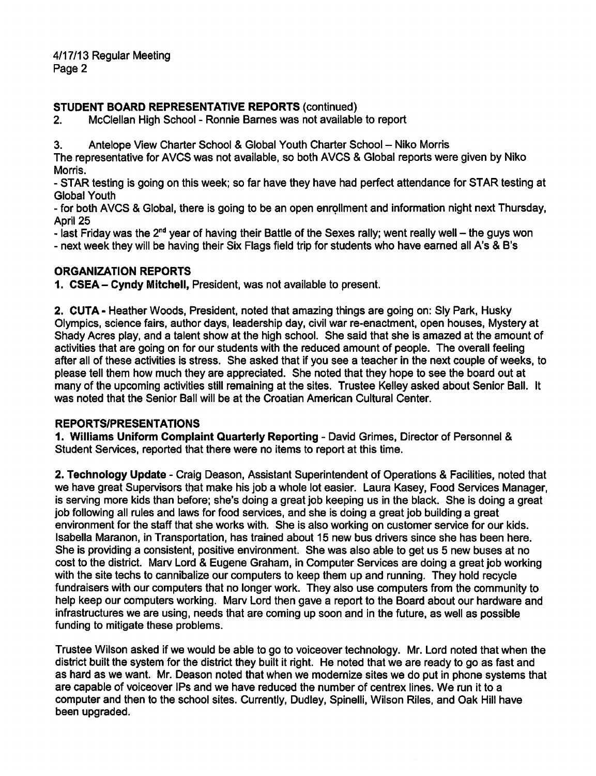4/17/13 Regular Meeting Page 2

#### STUDENT BOARD REPRESENTATIVE REPORTS (continued)

2. McClellan High School - Ronnie Barnes was not available to report

3. Antelope View Charter School & Global Youth Charter School - Niko Morris

The representative for AVCS was not available, so both AVCS & Global reports were given by Niko Morris.

STAR testing is going on this week; so far have they have had perfect attendance for STAR testing at Global Youth

for both AVCS & Global, there is going to be an open enrollment and information night next Thursday, April 25

- last Friday was the  $2^{nd}$  year of having their Battle of the Sexes rally; went really well – the guys won

next week they will be having their Six Flags field trip for students who have earned all A's & B's

## ORGANIZATION REPORTS

1. CSEA- Cyndy Mitchell, President, was not available to present.

2. CUTA - Heather Woods, President, noted that amazing things are going on: Sly Park, Husky Olympics, science fairs, author days, leadership day, civil war re-enactment, open houses, Mystery at Shady Acres play, and a talent show at the high school. She said that she is amazed at the amount of activities that are going on for our students with the reduced amount of people. The overall feeling after all of these activities is stress. She asked that if you see a teacher in the next couple of weeks, to please tell them how much they are appreciated. She noted that they hope to see the board out at many of the upcoming activities still remaining at the sites. Trustee Kelley asked about Senior Ball. It was noted that the Senior Ball will be at the Croatian American Cultural Center.

#### REPORTS/PRESENTATIONS

1. Williams Uniform Complaint Quarterly Reporting - David Grimes, Director of Personnel & Student Services, reported that there were no items to report at this time.

2. Technology Update - Craig Deason, Assistant Superintendent of Operations & Facilities, noted that we have great Supervisors that make his job a whole lot easier. Laura Kasey, Food Services Manager, is serving more kids than before; she's doing a great job keeping us in the black. She is doing a great job following all rules and laws for food services, and she is doing a great job building a great environment for the staff that she works with. She is also working on customer service for our kids. Isabella Maranon, in Transportation, has trained about 15 new bus drivers since she has been here. She is providing a consistent, positive environment. She was also able to get us 5 new buses at no cost to the district. Marv Lord & Eugene Graham, in Computer Services are doing a great job working with the site techs to cannibalize our computers to keep them up and running. They hold recycle fundraisers with our computers that no longer work. They also use computers from the community to help keep our computers working. Marv Lord then gave a report to the Board about our hardware and infrastructures we are using, needs that are coming up soon and in the future, as well as possible funding to mitigate these problems.

Trustee Wilson asked if we would be able to go to voiceover technology. Mr. Lord noted that when the district built the system for the district they built it right. He noted that we are ready to go as fast and as hard as we want. Mr. Deason noted that when we modernize sites we do put in phone systems that are capable of voiceover IPs and we have reduced the number of centrex lines. We run it to a computer and then to the school sites. Currently, Dudley, Spinelli, Wilson Riles, and Oak Hill have been upgraded.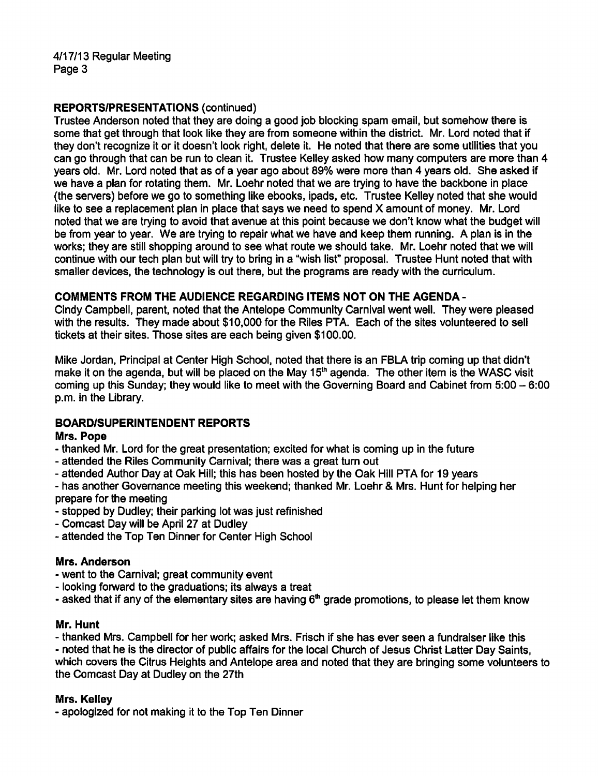#### REPORTS/PRESENTATIONS (continued)

Trustee Anderson noted that they are doing a good job blocking spam email, but somehow there is some that get through that look like they are from someone within the district. Mr. Lord noted that if they don't recognize it or it doesn't look right, delete it. He noted that there are some utilities that you can go through that can be run to clean it. Trustee Kelley asked how many computers are more than 4 years old. Mr. Lord noted that as of a year ago about 89% were more than 4 years old. She asked if we have a plan for rotating them. Mr. Loehr noted that we are trying to have the backbone in place (the servers) before we go to something like ebooks, ipads, etc. Trustee Kelley noted that she would like to see a replacement plan in place that says we need to spend X amount of money. Mr. Lord noted that we are trying to avoid that avenue at this point because we don't know what the budget will be from year to year. We are trying to repair what we have and keep them running. A plan is in the works; they are still shopping around to see what route we should take. Mr. Loehr noted that we will continue with our tech plan but will try to bring in a "wish list" proposal. Trustee Hunt noted that with smaller devices, the technology is out there, but the programs are ready with the curriculum.

#### COMMENTS FROM THE AUDIENCE REGARDING ITEMS NOT ON THE AGENDA-

Cindy Campbell, parent, noted that the Antelope Community Carnival went well. They were pleased with the results. They made about \$10,000 for the Riles PTA. Each of the sites volunteered to sell tickets at their sites. Those sites are each being given \$100.00.

Mike Jordan, Principal at Center High School, noted that there is an FBLA trip coming up that didn't make it on the agenda, but will be placed on the May 15<sup>th</sup> agenda. The other item is the WASC visit coming up this Sunday; they would like to meet with the Governing Board and Cabinet from  $5:00 - 6:00$ p.m. in the Library.

#### BOARD/SUPERINTENDENT REPORTS

#### Mrs. Pope

- thanked Mr. Lord for the great presentation; excited for what is coming up in the future
- attended the Riles Community Carnival; there was a great turn out
- attended Author Day at Oak Hill; this has been hosted by the Oak Hill PTA for 19 years

has another Governance meeting this weekend; thanked Mr. Loehr & Mrs. Hunt for helping her prepare for the meeting

- stopped by Dudley; their parking lot was just refinished
- Comcast Day will be April 27 at Dudley
- attended the Top Ten Dinner for Center High School

## Mrs. Anderson

- went to the Carnival; great community event
- looking forward to the graduations; its always a treat
- asked that if any of the elementary sites are having  $6<sup>th</sup>$  grade promotions, to please let them know

#### Mr. Hunt

thanked Mrs. Campbell for her work; asked Mrs. Frisch if she has ever seen a fundraiser like this noted that he is the director of public affairs for the local Church of Jesus Christ Latter Day Saints, which covers the Citrus Heights and Antelope area and noted that they are bringing some volunteers to the Comcast Day at Dudley on the 27th

#### Mrs. Kelley

apologized for not making it to the Top Ten Dinner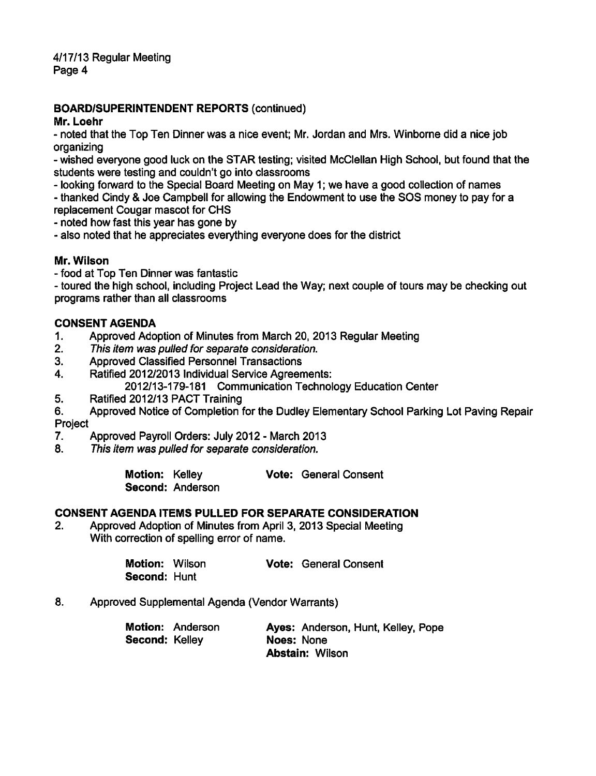4/17/13 Regular Meeting Page 4

#### BOARD/SUPERINTENDENT REPORTS (continued)

#### Mr. Loehr

noted that the Top Ten Dinner was a nice event; Mr. Jordan and Mrs. Winborne did a nice job organizing

wished everyone good luck on the STAR testing; visited McClellan High School, but found that the students were testing and couldn't go into classrooms

- looking forward to the Special Board Meeting on May 1; we have a good collection of names

thanked Cindy & Joe Campbell for allowing the Endowment to use the SOS money to pay for a replacement Cougar mascot for CHS

noted how fast this year has gone by

also noted that he appreciates everything everyone does for the district

#### Mr. Wilson

food at Top Ten Dinner was fantastic

- toured the high school, including Project Lead the Way; next couple of tours may be checking out programs rather than all classrooms

#### CONSENT AGENDA

- 1. Approved Adoption of Minutes from March 20, 2013 Regular Meeting
- 2. This item was pulled for separate consideration.
- 3. Approved Classified Personnel Transactions
- 4. Ratified 2012/2013 Individual Service Agreements:
- 2012/13-179-181 Communication Technology Education Center
- 5. Ratified 2012/13 PACT Training
- 6. Approved Notice of Completion for the Dudley Elementary School Parking Lot Paving Repair Project
- 7. Approved Payroll Orders: July 2012 March 2013
- 8. This item was pulled for separate consideration.

| Motion: Kelley |                  | <b>Vote: General Consent</b> |
|----------------|------------------|------------------------------|
|                | Second: Anderson |                              |

#### CONSENT AGENDA ITEMS PULLED FOR SEPARATE CONSIDERATION

2. Approved Adoption of Minutes from April 3, 2013 Special Meeting With correction of spelling error of name.

> Motion: Wilson Vote: General Consent Second: Hunt

8. Approved Supplemental Agenda (Vendor Warrants)

|                       | <b>Motion: Anderson</b> |            | Ayes: Anderson, Hunt, Kelley, Pope |  |
|-----------------------|-------------------------|------------|------------------------------------|--|
| <b>Second: Kelley</b> |                         | Noes: None |                                    |  |
|                       |                         |            | <b>Abstain: Wilson</b>             |  |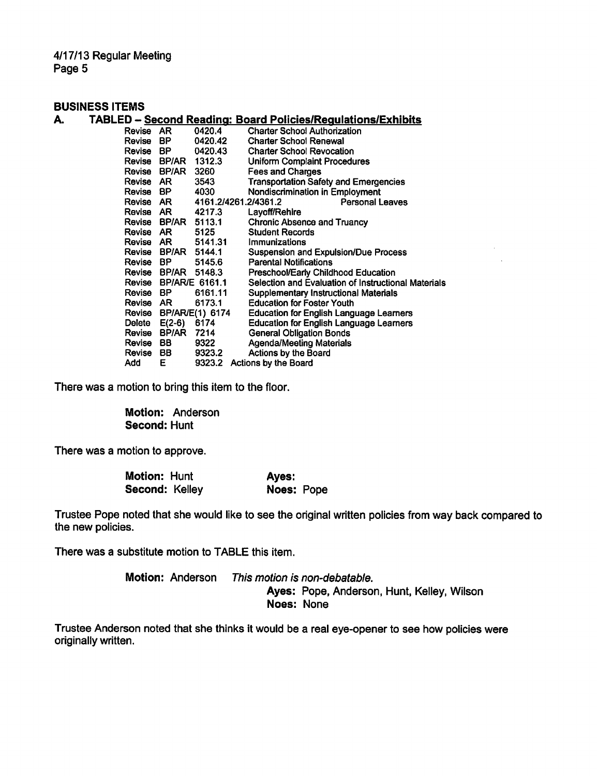4/17/13 Regular Meeting Page 5

#### BUSINESS ITEMS

| A. |               |                       |                      | <b>TABLED - Second Reading: Board Policies/Regulations/Exhibits</b> |
|----|---------------|-----------------------|----------------------|---------------------------------------------------------------------|
|    | Revise AR     |                       | 0420.4               | <b>Charter School Authorization</b>                                 |
|    | Revise        | BP.                   | 0420.42              | <b>Charter School Renewal</b>                                       |
|    | Revise        | BP.                   | 0420.43              | <b>Charter School Revocation</b>                                    |
|    | Revise        |                       | BP/AR 1312.3         | <b>Uniform Complaint Procedures</b>                                 |
|    | Revise        | BP/AR                 | 3260                 | <b>Fees and Charges</b>                                             |
|    | Revise AR     |                       | 3543                 | <b>Transportation Safety and Emergencies</b>                        |
|    | Revise BP     |                       | 4030                 | <b>Nondiscrimination in Employment</b>                              |
|    |               | Revise AR             | 4161.2/4261.2/4361.2 | Personal Leaves                                                     |
|    |               | Revise AR 4217.3      |                      | Layoff/Rehire                                                       |
|    | Revise        |                       | BP/AR 5113.1         | <b>Chronic Absence and Truancy</b>                                  |
|    |               | Revise AR             | 5125                 | <b>Student Records</b>                                              |
|    |               |                       | Revise AR 5141.31    | Immunizations                                                       |
|    |               | Revise BP/AR 5144.1   |                      | <b>Suspension and Expulsion/Due Process</b>                         |
|    | Revise BP     |                       | 5145.6               | <b>Parental Notifications</b>                                       |
|    |               | Revise BP/AR 5148.3   |                      | Preschool/Early Childhood Education                                 |
|    | Revise        | <b>BP/AR/E 6161.1</b> |                      | Selection and Evaluation of Instructional Materials                 |
|    | Revise BP     |                       | 6161.11              | Supplementary Instructional Materials                               |
|    | Revise AR     |                       | 6173.1               | <b>Education for Foster Youth</b>                                   |
|    | Revise        |                       | BP/AR/E(1) 6174      | Education for English Language Learners                             |
|    | Delete        | $E(2-6)$              | 6174                 | Education for English Language Learners                             |
|    | Revise        | <b>BP/AR 7214</b>     |                      | <b>General Obligation Bonds</b>                                     |
|    | Revise        | BB.                   | 9322                 | <b>Agenda/Meeting Materials</b>                                     |
|    | <b>Revise</b> | BB                    | 9323.2               | <b>Actions by the Board</b>                                         |
|    | Add           | Е                     | 9323.2               | <b>Actions by the Board</b>                                         |

There was a motion to bring this item to the floor.

Motion: Anderson Second: Hunt

There was a motion to approve.

| <b>Motion: Hunt</b> | Ayes:      |
|---------------------|------------|
| Second: Kelley      | Noes: Pope |

Trustee Pope noted that she would like to see the original written policies from way back compared to the new policies.

There was a substitute motion to TABLE this item.

Motion: Anderson This motion is non-debatable. Ayes: Pope, Anderson, Hunt, Kelley, Wilson Noes: None

Trustee Anderson noted that she thinks it would be a real eye-opener to see how policies were originally written.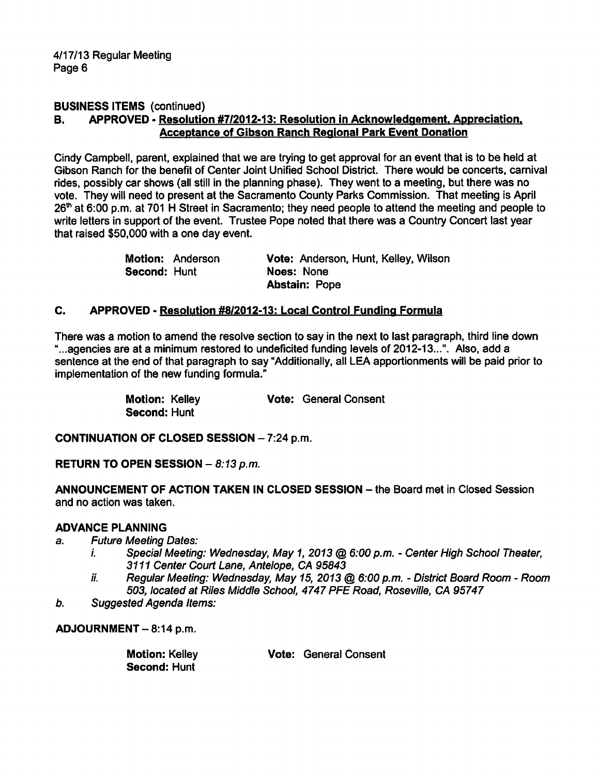#### BUSINESS ITEMS (continued)

#### B. APPROVED - Resolution #7/2012-13: Resolution in Acknowledgement. Appreciation. Acceptance of Gibson Ranch Regional Park Event Donation

Cindy Campbell, parent, explained that we are trying to get approval for an event that is to be held at Gibson Ranch for the benefit of Center Joint Unified School District. There would be concerts, carnival rides, possibly car shows (all still in the planning phase). They went to a meeting, but there was no vote. They will need to present at the Sacramento County Parks Commission. That meeting is April 26<sup>th</sup> at 6:00 p.m. at 701 H Street in Sacramento; they need people to attend the meeting and people to write letters in support of the event. Trustee Pope noted that there was a Country Concert last year that raised \$50,000 with a one day event.

|                     | <b>Motion: Anderson</b> | Vote: Anderson, Hunt, Kelley, Wilson |
|---------------------|-------------------------|--------------------------------------|
| <b>Second: Hunt</b> |                         | Noes: None                           |
|                     |                         | <b>Abstain: Pope</b>                 |

#### C. APPROVED - Resolution #8/2012-13: Local Control Funding Formula

There was a motion to amend the resolve section to say in the next to last paragraph, third line down "...agencies are at a minimum restored to undeficited funding levels of 2012-13...". Also, add a sentence at the end of that paragraph to say "Additionally, all LEA apportionments will be paid prior to implementation of the new funding formula."

Second: Hunt

Motion: Kelley **Vote: General Consent** 

CONTINUATION OF CLOSED SESSION  $-7:24$  p.m.

RETURN TO OPEN SESSION  $-8:13 \text{ p.m.}$ 

ANNOUNCEMENT OF ACTION TAKEN IN CLOSED SESSION - the Board met in Closed Session and no action was taken.

#### ADVANCE PLANNING

- a. Future Meeting Dates:
	- i. Special Meeting: Wednesday, May 1, 2013 @ 6:00 p.m. Center High School Theater, 3111 Center Court Lane, Antelope, CA 95843
	- ii. Regular Meeting: Wednesday, May 15, 2013 @ 6:00 p.m. District Board Room Room 503, located at Riles Middle School, 4747 PFE Road, RoSeville, CA 95747
- b. Suggested Agenda Items:

 $ADJOURNMENT - 8:14 p.m.$ 

Motion: Kelley **Vote: General Consent** Second: Hunt